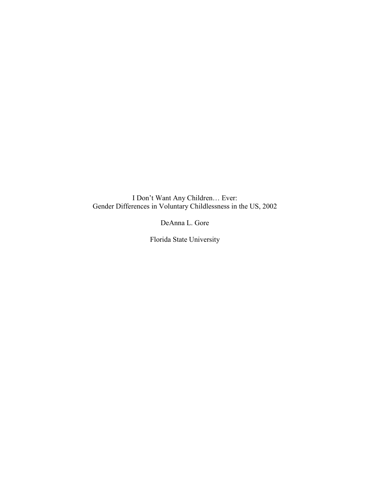I Don't Want Any Children… Ever: Gender Differences in Voluntary Childlessness in the US, 2002

DeAnna L. Gore

Florida State University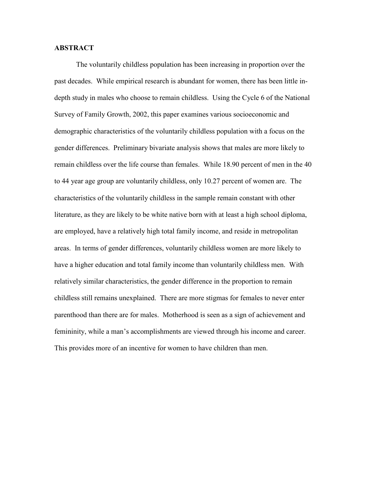## **ABSTRACT**

The voluntarily childless population has been increasing in proportion over the past decades. While empirical research is abundant for women, there has been little indepth study in males who choose to remain childless. Using the Cycle 6 of the National Survey of Family Growth, 2002, this paper examines various socioeconomic and demographic characteristics of the voluntarily childless population with a focus on the gender differences. Preliminary bivariate analysis shows that males are more likely to remain childless over the life course than females. While 18.90 percent of men in the 40 to 44 year age group are voluntarily childless, only 10.27 percent of women are. The characteristics of the voluntarily childless in the sample remain constant with other literature, as they are likely to be white native born with at least a high school diploma, are employed, have a relatively high total family income, and reside in metropolitan areas. In terms of gender differences, voluntarily childless women are more likely to have a higher education and total family income than voluntarily childless men. With relatively similar characteristics, the gender difference in the proportion to remain childless still remains unexplained. There are more stigmas for females to never enter parenthood than there are for males. Motherhood is seen as a sign of achievement and femininity, while a man's accomplishments are viewed through his income and career. This provides more of an incentive for women to have children than men.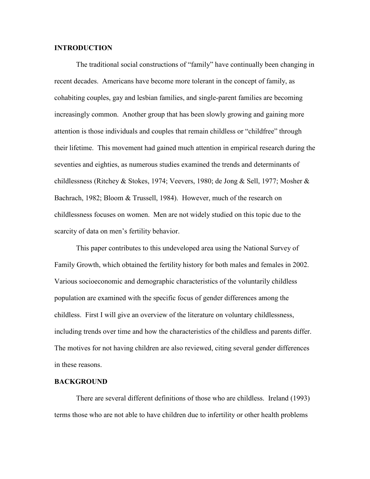## INTRODUCTION

The traditional social constructions of "family" have continually been changing in recent decades. Americans have become more tolerant in the concept of family, as cohabiting couples, gay and lesbian families, and single-parent families are becoming increasingly common. Another group that has been slowly growing and gaining more attention is those individuals and couples that remain childless or "childfree" through their lifetime. This movement had gained much attention in empirical research during the seventies and eighties, as numerous studies examined the trends and determinants of childlessness (Ritchey & Stokes, 1974; Veevers, 1980; de Jong & Sell, 1977; Mosher & Bachrach, 1982; Bloom & Trussell, 1984). However, much of the research on childlessness focuses on women. Men are not widely studied on this topic due to the scarcity of data on men's fertility behavior.

 This paper contributes to this undeveloped area using the National Survey of Family Growth, which obtained the fertility history for both males and females in 2002. Various socioeconomic and demographic characteristics of the voluntarily childless population are examined with the specific focus of gender differences among the childless. First I will give an overview of the literature on voluntary childlessness, including trends over time and how the characteristics of the childless and parents differ. The motives for not having children are also reviewed, citing several gender differences in these reasons.

#### BACKGROUND

There are several different definitions of those who are childless. Ireland (1993) terms those who are not able to have children due to infertility or other health problems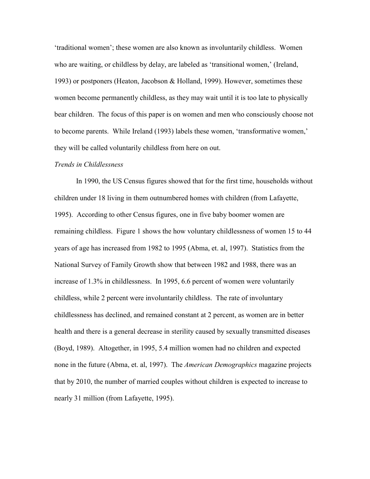'traditional women'; these women are also known as involuntarily childless. Women who are waiting, or childless by delay, are labeled as 'transitional women,' (Ireland, 1993) or postponers (Heaton, Jacobson & Holland, 1999). However, sometimes these women become permanently childless, as they may wait until it is too late to physically bear children. The focus of this paper is on women and men who consciously choose not to become parents. While Ireland (1993) labels these women, 'transformative women,' they will be called voluntarily childless from here on out.

#### Trends in Childlessness

 In 1990, the US Census figures showed that for the first time, households without children under 18 living in them outnumbered homes with children (from Lafayette, 1995). According to other Census figures, one in five baby boomer women are remaining childless. Figure 1 shows the how voluntary childlessness of women 15 to 44 years of age has increased from 1982 to 1995 (Abma, et. al, 1997). Statistics from the National Survey of Family Growth show that between 1982 and 1988, there was an increase of 1.3% in childlessness. In 1995, 6.6 percent of women were voluntarily childless, while 2 percent were involuntarily childless. The rate of involuntary childlessness has declined, and remained constant at 2 percent, as women are in better health and there is a general decrease in sterility caused by sexually transmitted diseases (Boyd, 1989). Altogether, in 1995, 5.4 million women had no children and expected none in the future (Abma, et. al, 1997). The *American Demographics* magazine projects that by 2010, the number of married couples without children is expected to increase to nearly 31 million (from Lafayette, 1995).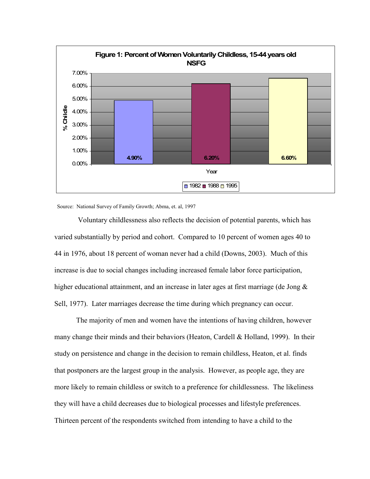

Source: National Survey of Family Growth; Abma, et. al, 1997

 Voluntary childlessness also reflects the decision of potential parents, which has varied substantially by period and cohort. Compared to 10 percent of women ages 40 to 44 in 1976, about 18 percent of woman never had a child (Downs, 2003). Much of this increase is due to social changes including increased female labor force participation, higher educational attainment, and an increase in later ages at first marriage (de Jong & Sell, 1977). Later marriages decrease the time during which pregnancy can occur.

 The majority of men and women have the intentions of having children, however many change their minds and their behaviors (Heaton, Cardell & Holland, 1999). In their study on persistence and change in the decision to remain childless, Heaton, et al. finds that postponers are the largest group in the analysis. However, as people age, they are more likely to remain childless or switch to a preference for childlessness. The likeliness they will have a child decreases due to biological processes and lifestyle preferences. Thirteen percent of the respondents switched from intending to have a child to the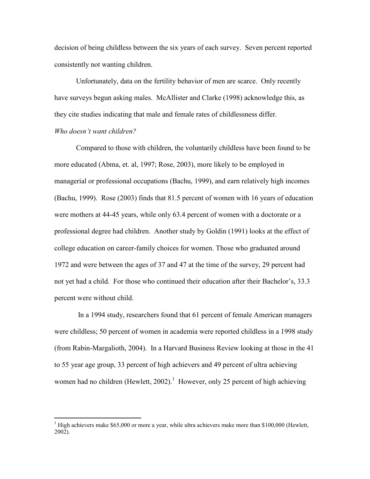decision of being childless between the six years of each survey. Seven percent reported consistently not wanting children.

Unfortunately, data on the fertility behavior of men are scarce. Only recently have surveys begun asking males. McAllister and Clarke (1998) acknowledge this, as they cite studies indicating that male and female rates of childlessness differ.

# Who doesn't want children?

 Compared to those with children, the voluntarily childless have been found to be more educated (Abma, et. al, 1997; Rose, 2003), more likely to be employed in managerial or professional occupations (Bachu, 1999), and earn relatively high incomes (Bachu, 1999). Rose (2003) finds that 81.5 percent of women with 16 years of education were mothers at 44-45 years, while only 63.4 percent of women with a doctorate or a professional degree had children. Another study by Goldin (1991) looks at the effect of college education on career-family choices for women. Those who graduated around 1972 and were between the ages of 37 and 47 at the time of the survey, 29 percent had not yet had a child. For those who continued their education after their Bachelor's, 33.3 percent were without child.

 In a 1994 study, researchers found that 61 percent of female American managers were childless; 50 percent of women in academia were reported childless in a 1998 study (from Rabin-Margalioth, 2004). In a Harvard Business Review looking at those in the 41 to 55 year age group, 33 percent of high achievers and 49 percent of ultra achieving women had no children (Hewlett, 2002).<sup>1</sup> However, only 25 percent of high achieving

<sup>&</sup>lt;sup>1</sup> High achievers make \$65,000 or more a year, while ultra achievers make more than \$100,000 (Hewlett, 2002).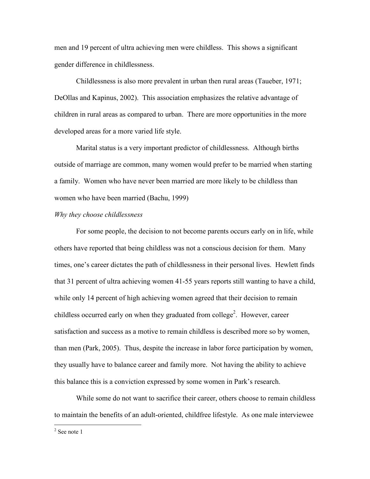men and 19 percent of ultra achieving men were childless. This shows a significant gender difference in childlessness.

Childlessness is also more prevalent in urban then rural areas (Taueber, 1971; DeOllas and Kapinus, 2002). This association emphasizes the relative advantage of children in rural areas as compared to urban. There are more opportunities in the more developed areas for a more varied life style.

Marital status is a very important predictor of childlessness. Although births outside of marriage are common, many women would prefer to be married when starting a family. Women who have never been married are more likely to be childless than women who have been married (Bachu, 1999)

#### Why they choose childlessness

 For some people, the decision to not become parents occurs early on in life, while others have reported that being childless was not a conscious decision for them. Many times, one's career dictates the path of childlessness in their personal lives. Hewlett finds that 31 percent of ultra achieving women 41-55 years reports still wanting to have a child, while only 14 percent of high achieving women agreed that their decision to remain childless occurred early on when they graduated from college<sup>2</sup>. However, career satisfaction and success as a motive to remain childless is described more so by women, than men (Park, 2005). Thus, despite the increase in labor force participation by women, they usually have to balance career and family more. Not having the ability to achieve this balance this is a conviction expressed by some women in Park's research.

 While some do not want to sacrifice their career, others choose to remain childless to maintain the benefits of an adult-oriented, childfree lifestyle. As one male interviewee

<sup>2</sup> See note 1

 $\overline{a}$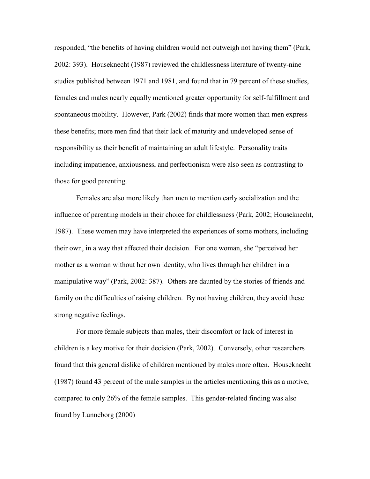responded, "the benefits of having children would not outweigh not having them" (Park, 2002: 393). Houseknecht (1987) reviewed the childlessness literature of twenty-nine studies published between 1971 and 1981, and found that in 79 percent of these studies, females and males nearly equally mentioned greater opportunity for self-fulfillment and spontaneous mobility. However, Park (2002) finds that more women than men express these benefits; more men find that their lack of maturity and undeveloped sense of responsibility as their benefit of maintaining an adult lifestyle. Personality traits including impatience, anxiousness, and perfectionism were also seen as contrasting to those for good parenting.

 Females are also more likely than men to mention early socialization and the influence of parenting models in their choice for childlessness (Park, 2002; Houseknecht, 1987). These women may have interpreted the experiences of some mothers, including their own, in a way that affected their decision. For one woman, she "perceived her mother as a woman without her own identity, who lives through her children in a manipulative way" (Park, 2002: 387). Others are daunted by the stories of friends and family on the difficulties of raising children. By not having children, they avoid these strong negative feelings.

For more female subjects than males, their discomfort or lack of interest in children is a key motive for their decision (Park, 2002). Conversely, other researchers found that this general dislike of children mentioned by males more often. Houseknecht (1987) found 43 percent of the male samples in the articles mentioning this as a motive, compared to only 26% of the female samples. This gender-related finding was also found by Lunneborg (2000)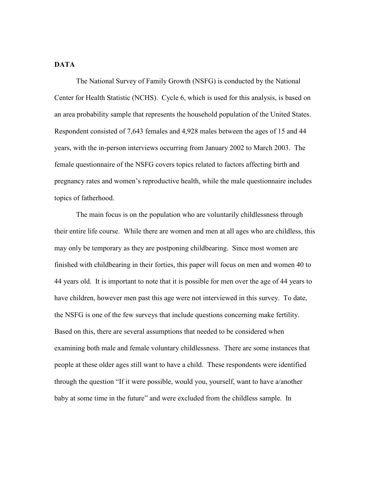## DATA

 The National Survey of Family Growth (NSFG) is conducted by the National Center for Health Statistic (NCHS). Cycle 6, which is used for this analysis, is based on an area probability sample that represents the household population of the United States. Respondent consisted of 7,643 females and 4,928 males between the ages of 15 and 44 years, with the in-person interviews occurring from January 2002 to March 2003. The female questionnaire of the NSFG covers topics related to factors affecting birth and pregnancy rates and women's reproductive health, while the male questionnaire includes topics of fatherhood.

 The main focus is on the population who are voluntarily childlessness through their entire life course. While there are women and men at all ages who are childless, this may only be temporary as they are postponing childbearing. Since most women are finished with childbearing in their forties, this paper will focus on men and women 40 to 44 years old. It is important to note that it is possible for men over the age of 44 years to have children, however men past this age were not interviewed in this survey. To date, the NSFG is one of the few surveys that include questions concerning make fertility. Based on this, there are several assumptions that needed to be considered when examining both male and female voluntary childlessness. There are some instances that people at these older ages still want to have a child. These respondents were identified through the question "If it were possible, would you, yourself, want to have a/another baby at some time in the future" and were excluded from the childless sample. In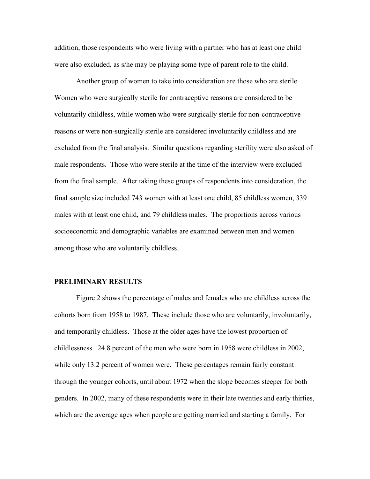addition, those respondents who were living with a partner who has at least one child were also excluded, as s/he may be playing some type of parent role to the child.

Another group of women to take into consideration are those who are sterile. Women who were surgically sterile for contraceptive reasons are considered to be voluntarily childless, while women who were surgically sterile for non-contraceptive reasons or were non-surgically sterile are considered involuntarily childless and are excluded from the final analysis. Similar questions regarding sterility were also asked of male respondents. Those who were sterile at the time of the interview were excluded from the final sample. After taking these groups of respondents into consideration, the final sample size included 743 women with at least one child, 85 childless women, 339 males with at least one child, and 79 childless males. The proportions across various socioeconomic and demographic variables are examined between men and women among those who are voluntarily childless.

### PRELIMINARY RESULTS

Figure 2 shows the percentage of males and females who are childless across the cohorts born from 1958 to 1987. These include those who are voluntarily, involuntarily, and temporarily childless. Those at the older ages have the lowest proportion of childlessness. 24.8 percent of the men who were born in 1958 were childless in 2002, while only 13.2 percent of women were. These percentages remain fairly constant through the younger cohorts, until about 1972 when the slope becomes steeper for both genders. In 2002, many of these respondents were in their late twenties and early thirties, which are the average ages when people are getting married and starting a family. For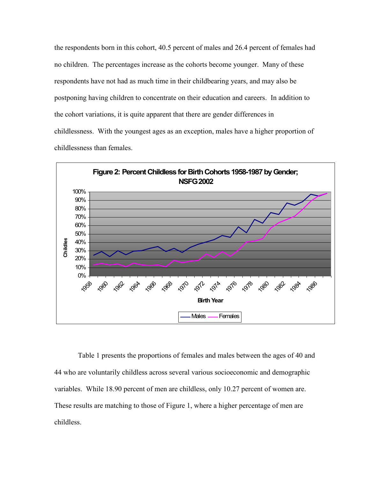the respondents born in this cohort, 40.5 percent of males and 26.4 percent of females had no children. The percentages increase as the cohorts become younger. Many of these respondents have not had as much time in their childbearing years, and may also be postponing having children to concentrate on their education and careers. In addition to the cohort variations, it is quite apparent that there are gender differences in childlessness. With the youngest ages as an exception, males have a higher proportion of childlessness than females.



 Table 1 presents the proportions of females and males between the ages of 40 and 44 who are voluntarily childless across several various socioeconomic and demographic variables. While 18.90 percent of men are childless, only 10.27 percent of women are. These results are matching to those of Figure 1, where a higher percentage of men are childless.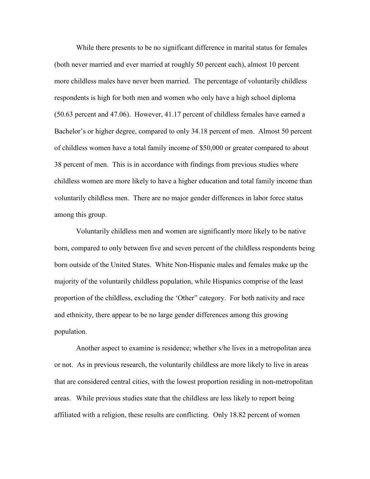While there presents to be no significant difference in marital status for females (both never married and ever married at roughly 50 percent each), almost 10 percent more childless males have never been married. The percentage of voluntarily childless respondents is high for both men and women who only have a high school diploma (50.63 percent and 47.06). However, 41.17 percent of childless females have earned a Bachelor's or higher degree, compared to only 34.18 percent of men. Almost 50 percent of childless women have a total family income of \$50,000 or greater compared to about 38 percent of men. This is in accordance with findings from previous studies where childless women are more likely to have a higher education and total family income than voluntarily childless men. There are no major gender differences in labor force status among this group.

Voluntarily childless men and women are significantly more likely to be native born, compared to only between five and seven percent of the childless respondents being born outside of the United States. White Non-Hispanic males and females make up the majority of the voluntarily childless population, while Hispanics comprise of the least proportion of the childless, excluding the 'Other" category. For both nativity and race and ethnicity, there appear to be no large gender differences among this growing population.

Another aspect to examine is residence; whether s/he lives in a metropolitan area or not. As in previous research, the voluntarily childless are more likely to live in areas that are considered central cities, with the lowest proportion residing in non-metropolitan areas. While previous studies state that the childless are less likely to report being affiliated with a religion, these results are conflicting. Only 18.82 percent of women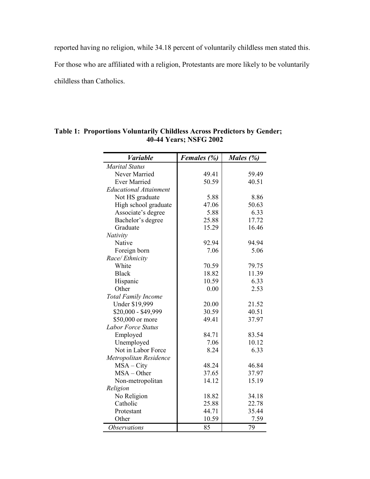reported having no religion, while 34.18 percent of voluntarily childless men stated this.

For those who are affiliated with a religion, Protestants are more likely to be voluntarily

childless than Catholics.

| Variable                      | Females (%) | Males (%) |
|-------------------------------|-------------|-----------|
| <b>Marital Status</b>         |             |           |
| Never Married                 | 49.41       | 59.49     |
| <b>Ever Married</b>           | 50.59       | 40.51     |
| <b>Educational Attainment</b> |             |           |
| Not HS graduate               | 5.88        | 8.86      |
| High school graduate          | 47.06       | 50.63     |
| Associate's degree            | 5.88        | 6.33      |
| Bachelor's degree             | 25.88       | 17.72     |
| Graduate                      | 15.29       | 16.46     |
| Nativity                      |             |           |
| Native                        | 92.94       | 94.94     |
| Foreign born                  | 7.06        | 5.06      |
| Race/Ethnicity                |             |           |
| White                         | 70.59       | 79.75     |
| <b>Black</b>                  | 18.82       | 11.39     |
| Hispanic                      | 10.59       | 6.33      |
| Other                         | 0.00        | 2.53      |
| <b>Total Family Income</b>    |             |           |
| Under \$19,999                | 20.00       | 21.52     |
| \$20,000 - \$49,999           | 30.59       | 40.51     |
| \$50,000 or more              | 49.41       | 37.97     |
| <b>Labor Force Status</b>     |             |           |
| Employed                      | 84.71       | 83.54     |
| Unemployed                    | 7.06        | 10.12     |
| Not in Labor Force            | 8.24        | 6.33      |
| Metropolitan Residence        |             |           |
| $MSA - City$                  | 48.24       | 46.84     |
| $MSA - Other$                 | 37.65       | 37.97     |
| Non-metropolitan              | 14.12       | 15.19     |
| Religion                      |             |           |
| No Religion                   | 18.82       | 34.18     |
| Catholic                      | 25.88       | 22.78     |
| Protestant                    | 44.71       | 35.44     |
| Other                         | 10.59       | 7.59      |
| <i><b>Observations</b></i>    | 85          | 79        |

# Table 1: Proportions Voluntarily Childless Across Predictors by Gender; 40-44 Years; NSFG 2002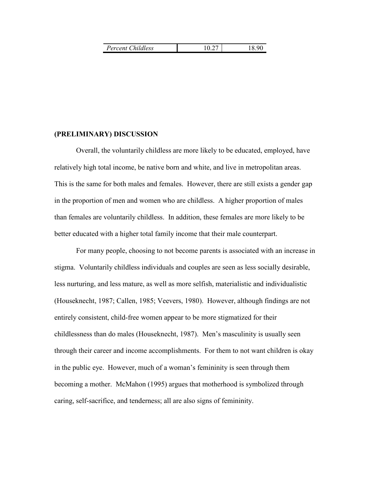| Percent Childless |  | 18.90 |
|-------------------|--|-------|
|-------------------|--|-------|

## (PRELIMINARY) DISCUSSION

 Overall, the voluntarily childless are more likely to be educated, employed, have relatively high total income, be native born and white, and live in metropolitan areas. This is the same for both males and females. However, there are still exists a gender gap in the proportion of men and women who are childless. A higher proportion of males than females are voluntarily childless. In addition, these females are more likely to be better educated with a higher total family income that their male counterpart.

For many people, choosing to not become parents is associated with an increase in stigma. Voluntarily childless individuals and couples are seen as less socially desirable, less nurturing, and less mature, as well as more selfish, materialistic and individualistic (Houseknecht, 1987; Callen, 1985; Veevers, 1980). However, although findings are not entirely consistent, child-free women appear to be more stigmatized for their childlessness than do males (Houseknecht, 1987). Men's masculinity is usually seen through their career and income accomplishments. For them to not want children is okay in the public eye. However, much of a woman's femininity is seen through them becoming a mother. McMahon (1995) argues that motherhood is symbolized through caring, self-sacrifice, and tenderness; all are also signs of femininity.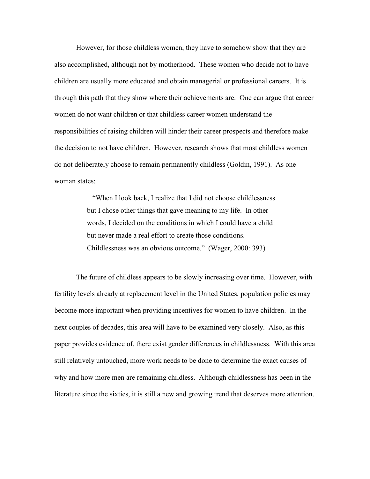However, for those childless women, they have to somehow show that they are also accomplished, although not by motherhood. These women who decide not to have children are usually more educated and obtain managerial or professional careers. It is through this path that they show where their achievements are. One can argue that career women do not want children or that childless career women understand the responsibilities of raising children will hinder their career prospects and therefore make the decision to not have children. However, research shows that most childless women do not deliberately choose to remain permanently childless (Goldin, 1991). As one woman states:

> "When I look back, I realize that I did not choose childlessness but I chose other things that gave meaning to my life. In other words, I decided on the conditions in which I could have a child but never made a real effort to create those conditions. Childlessness was an obvious outcome." (Wager, 2000: 393)

 The future of childless appears to be slowly increasing over time. However, with fertility levels already at replacement level in the United States, population policies may become more important when providing incentives for women to have children. In the next couples of decades, this area will have to be examined very closely. Also, as this paper provides evidence of, there exist gender differences in childlessness. With this area still relatively untouched, more work needs to be done to determine the exact causes of why and how more men are remaining childless. Although childlessness has been in the literature since the sixties, it is still a new and growing trend that deserves more attention.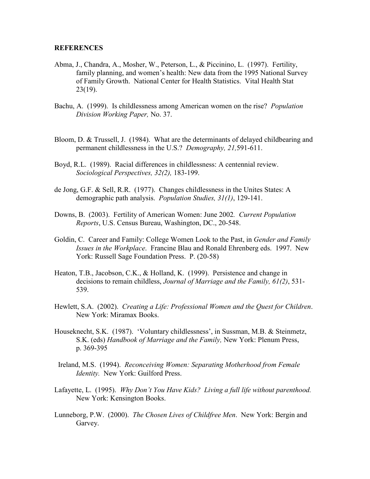### **REFERENCES**

- Abma, J., Chandra, A., Mosher, W., Peterson, L., & Piccinino, L. (1997). Fertility, family planning, and women's health: New data from the 1995 National Survey of Family Growth. National Center for Health Statistics. Vital Health Stat 23(19).
- Bachu, A. (1999). Is childlessness among American women on the rise? Population Division Working Paper, No. 37.
- Bloom, D. & Trussell, J. (1984). What are the determinants of delayed childbearing and permanent childlessness in the U.S.? Demography, 21,591-611.
- Boyd, R.L. (1989). Racial differences in childlessness: A centennial review. Sociological Perspectives, 32(2), 183-199.
- de Jong, G.F. & Sell, R.R. (1977). Changes childlessness in the Unites States: A demographic path analysis. *Population Studies*, 31(1), 129-141.
- Downs, B. (2003). Fertility of American Women: June 2002. Current Population Reports, U.S. Census Bureau, Washington, DC., 20-548.
- Goldin, C. Career and Family: College Women Look to the Past, in Gender and Family Issues in the Workplace. Francine Blau and Ronald Ehrenberg eds. 1997. New York: Russell Sage Foundation Press. P. (20-58)
- Heaton, T.B., Jacobson, C.K., & Holland, K. (1999). Persistence and change in decisions to remain childless, Journal of Marriage and the Family, 61(2), 531- 539.
- Hewlett, S.A. (2002). Creating a Life: Professional Women and the Quest for Children. New York: Miramax Books.
- Houseknecht, S.K. (1987). 'Voluntary childlessness', in Sussman, M.B. & Steinmetz, S.K. (eds) Handbook of Marriage and the Family, New York: Plenum Press, p. 369-395
- Ireland, M.S. (1994). Reconceiving Women: Separating Motherhood from Female Identity. New York: Guilford Press.
- Lafayette, L. (1995). Why Don't You Have Kids? Living a full life without parenthood. New York: Kensington Books.
- Lunneborg, P.W. (2000). The Chosen Lives of Childfree Men. New York: Bergin and Garvey.